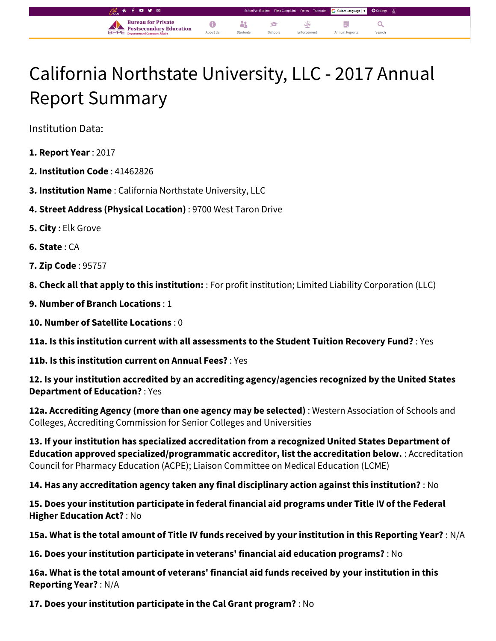## California Northstate University, LLC - 2017 Annual Report Summary

å

Student

 $\epsilon$ 

 $\bullet$ 

About Us

Select Language |  $\blacktriangledown$ 

Q

自

**Annual Report** 

⊄

Enforcement

Institution Data:

- **1. Report Year** : 2017
- **2. Institution Code** : 41462826
- **3. Institution Name** : California Northstate University, LLC

**Bureau for Private** 

**Postsecondary Education** 

- **4. Street Address (Physical Location)** : 9700 West Taron Drive
- **5. City** : Elk Grove
- **6. State** : CA
- **7. Zip Code** : 95757

**8. Check all that apply to this institution:** : For profit institution; Limited Liability Corporation (LLC)

- **9. Number of Branch Locations** : 1
- **10. Number of Satellite Locations** : 0

**11a. Is this institution current with all assessments to the Student Tuition Recovery Fund?** : Yes

**11b. Is this institution current on Annual Fees?** : Yes

**12. Is your institution accredited by an accrediting agency/agencies recognized by the United States Department of Education?** : Yes

**12a. Accrediting Agency (more than one agency may be selected)** : Western Association of Schools and Colleges, Accrediting Commission for Senior Colleges and Universities

**13. If your institution has specialized accreditation from a recognized United States Department of Education approved specialized/programmatic accreditor, list the accreditation below.** : Accreditation Council for Pharmacy Education (ACPE); Liaison Committee on Medical Education (LCME)

**14. Has any accreditation agency taken any final disciplinary action against this institution?** : No

**15. Does your institution participate in federal financial aid programs under Title IV of the Federal Higher Education Act?** : No

**15a. What is the total amount of Title IV funds received by your institution in this Reporting Year?** : N/A

**16. Does your institution participate in veterans' financial aid education programs?** : No

**16a. What is the total amount of veterans' financial aid funds received by your institution in this Reporting Year?** : N/A

**17. Does your institution participate in the Cal Grant program?** : No